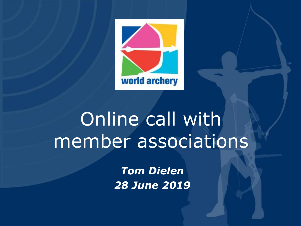

# Online call with member associations

*Tom Dielen 28 June 2019*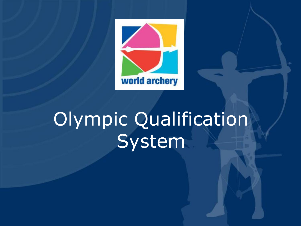

# Olympic Qualification System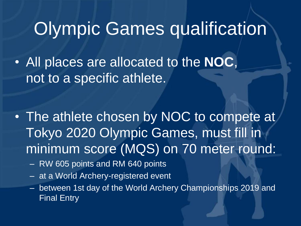### Olympic Games qualification

• All places are allocated to the **NOC**, not to a specific athlete.

• The athlete chosen by NOC to compete at Tokyo 2020 Olympic Games, must fill in minimum score (MQS) on 70 meter round:

- RW 605 points and RM 640 points
- at a World Archery-registered event
- between 1st day of the World Archery Championships 2019 and Final Entry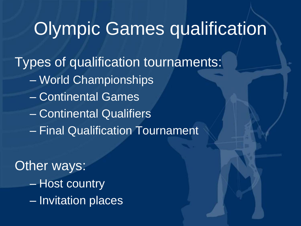### Olympic Games qualification

Types of qualification tournaments:

- World Championships
- Continental Games
- Continental Qualifiers
- Final Qualification Tournament

**Other ways:** – Host country – Invitation places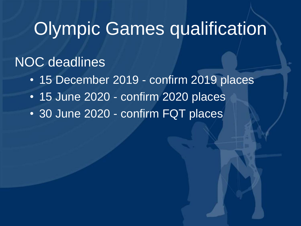### Olympic Games qualification

#### NOC deadlines

- 15 December 2019 confirm 2019 places
- 15 June 2020 confirm 2020 places
- 30 June 2020 confirm FQT places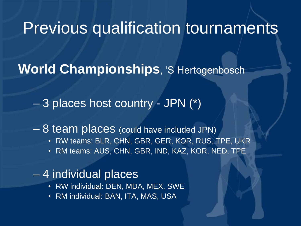#### Previous qualification tournaments

**World Championships**, 'S Hertogenbosch

– 3 places host country - JPN (\*)

– 8 team places (could have included JPN)

- RW teams: BLR, CHN, GBR, GER, KOR, RUS, TPE, UKR
- RM teams: AUS, CHN, GBR, IND, KAZ, KOR, NED, TPE

#### – 4 individual places

- RW individual: DEN, MDA, MEX, SWE
- RM individual: BAN, ITA, MAS, USA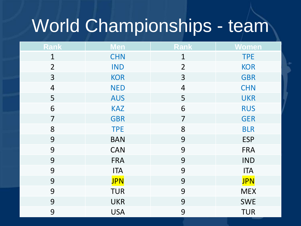# World Championships - team

| Rank                     | Men        | <b>Rank</b>              | Women      |
|--------------------------|------------|--------------------------|------------|
| $\mathbf{1}$             | <b>CHN</b> | $\mathbf 1$              | <b>TPE</b> |
| $\overline{2}$           | <b>IND</b> | $\overline{2}$           | <b>KOR</b> |
| 3                        | <b>KOR</b> | 3                        | <b>GBR</b> |
| $\overline{\mathcal{A}}$ | <b>NED</b> | $\overline{\mathcal{A}}$ | <b>CHN</b> |
| 5                        | <b>AUS</b> | 5                        | <b>UKR</b> |
| 6                        | <b>KAZ</b> | 6                        | <b>RUS</b> |
| $\overline{7}$           | <b>GBR</b> | $\overline{7}$           | <b>GER</b> |
| 8                        | <b>TPE</b> | 8                        | <b>BLR</b> |
| 9                        | <b>BAN</b> | 9                        | <b>ESP</b> |
| 9                        | <b>CAN</b> | 9                        | <b>FRA</b> |
| 9                        | <b>FRA</b> | 9                        | <b>IND</b> |
| 9                        | <b>ITA</b> | 9                        | <b>ITA</b> |
| 9                        | <b>JPN</b> | 9                        | <b>JPN</b> |
| 9                        | <b>TUR</b> | 9                        | <b>MEX</b> |
| 9                        | <b>UKR</b> | 9                        | <b>SWE</b> |
| 9                        | <b>USA</b> | 9                        | <b>TUR</b> |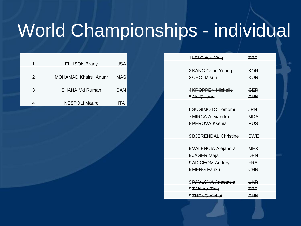## World Championships - individual

| 1 | <b>ELLISON Brady</b>         | USA |
|---|------------------------------|-----|
| 2 | <b>MOHAMAD Khairul Anuar</b> | MAS |
|   |                              |     |
| 3 | <b>SHANA Md Ruman</b>        | BAN |
|   |                              |     |
|   | <b>NESPOLI Mauro</b>         | ITA |

| 1 LEI Chien-Ying        | <b>TPF</b>     |
|-------------------------|----------------|
|                         |                |
| 2 KANG Chae Young       | <b>KOR</b>     |
| 3 <del>CHOI</del> Misun | <b>KOR</b>     |
|                         |                |
| 4 KROPPEN Michelle      | <b>GER</b>     |
| 5 AN Qixuan             | CHN            |
|                         |                |
| 6 SUGIMOTO Tomomi       | <b>JPN</b>     |
| 7 MIRCA Alexandra       | <b>MDA</b>     |
| 8 PEROVA Ksenia         | <b>RUS</b>     |
|                         |                |
| 9 BJERENDAL Christine   | <b>SWE</b>     |
|                         |                |
| 9 VALENCIA Alejandra    | MEX            |
| 9 JAGER Maja            | DFN            |
| 9 ADICEOM Audrey        | <b>FRA</b>     |
| 9 MENG Fanxu            | <b>CHN</b>     |
|                         |                |
| 9 PAVLOVA Anastasia     | <del>UKR</del> |
| 9 TAN Ya-Ting           | <b>TPF</b>     |
| 9ZHENG Yichai           | CHN            |
|                         |                |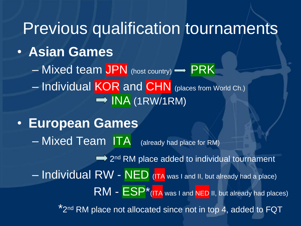Previous qualification tournaments • **Asian Games**  $-$  Mixed team JPN (host country)  $\rightarrow$  PRK – Individual KOR and CHN (places from World Ch.)  $\rightarrow$  INA (1RW/1RM) • **European Games** – Mixed Team ITA (already had place for RM) 2<sup>nd</sup> RM place added to individual tournament – Individual RW - NED (ITA was I and II, but already had a place) RM - ESP<sup>\*</sup>(ITA was I and NED II, but already had places) \*2<sup>nd</sup> RM place not allocated since not in top 4, added to FQT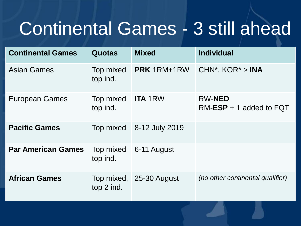## Continental Games - 3 still ahead

| <b>Continental Games</b>  | <b>Quotas</b>                        | <b>Mixed</b>            | <b>Individual</b>                           |
|---------------------------|--------------------------------------|-------------------------|---------------------------------------------|
| <b>Asian Games</b>        | Top mixed<br>top ind.                | <b>PRK</b> 1RM+1RW      | $CHN^*$ , $KOR^* > INA$                     |
| <b>European Games</b>     | Top mixed <b>ITA</b> 1RW<br>top ind. |                         | <b>RW-NED</b><br>$RM$ -ESP + 1 added to FQT |
| <b>Pacific Games</b>      | Top mixed                            | 8-12 July 2019          |                                             |
| <b>Par American Games</b> | Top mixed<br>top ind.                | 6-11 August             |                                             |
| <b>African Games</b>      | top 2 ind.                           | Top mixed, 25-30 August | (no other continental qualifier)            |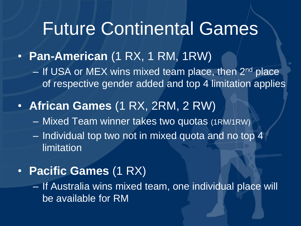### Future Continental Games

- **Pan-American** (1 RX, 1 RM, 1RW)
	- If USA or MEX wins mixed team place, then 2<sup>nd</sup> place of respective gender added and top 4 limitation applies
- **African Games** (1 RX, 2RM, 2 RW)
	- Mixed Team winner takes two quotas (1RM/1RW)
	- Individual top two not in mixed quota and no top 4 limitation

#### • **Pacific Games** (1 RX)

– If Australia wins mixed team, one individual place will be available for RM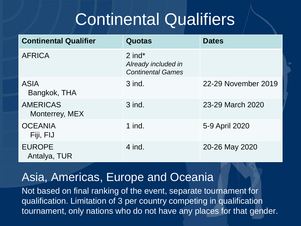### Continental Qualifiers

| <b>Continental Qualifier</b>      | <b>Quotas</b>                                               | <b>Dates</b>        |
|-----------------------------------|-------------------------------------------------------------|---------------------|
| <b>AFRICA</b>                     | $2$ ind*<br>Already included in<br><b>Continental Games</b> |                     |
| <b>ASIA</b><br>Bangkok, THA       | $3$ ind.                                                    | 22-29 November 2019 |
| <b>AMERICAS</b><br>Monterrey, MEX | 3 ind.                                                      | 23-29 March 2020    |
| <b>OCEANIA</b><br>Fiji, FIJ       | $1$ ind.                                                    | 5-9 April 2020      |
| <b>EUROPE</b><br>Antalya, TUR     | 4 ind.                                                      | 20-26 May 2020      |

#### Asia, Americas, Europe and Oceania

Not based on final ranking of the event, separate tournament for qualification. Limitation of 3 per country competing in qualification tournament, only nations who do not have any places for that gender.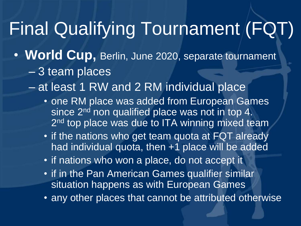## Final Qualifying Tournament (FQT)

- **World Cup,** Berlin, June 2020, separate tournament – 3 team places
	- at least 1 RW and 2 RM individual place
		- one RM place was added from European Games since 2<sup>nd</sup> non qualified place was not in top 4. 2<sup>nd</sup> top place was due to ITA winning mixed team
		- if the nations who get team quota at FQT already had individual quota, then +1 place will be added
		- if nations who won a place, do not accept it
		- if in the Pan American Games qualifier similar situation happens as with European Games
		- any other places that cannot be attributed otherwise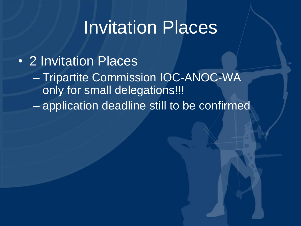### Invitation Places

• 2 Invitation Places

– Tripartite Commission IOC-ANOC-WA only for small delegations!!! – application deadline still to be confirmed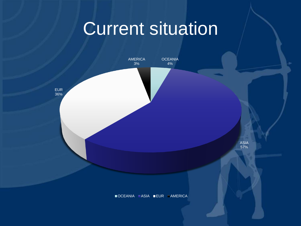### Current situation

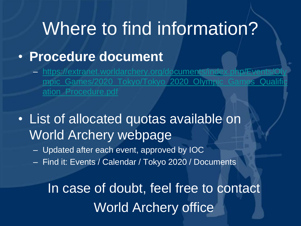### Where to find information?

#### • **Procedure document**

– https://extranet.worldarchery.org/documents/index.php/Events/Oly mpic\_Games/2020\_Tokyo/Tokyo\_2020\_Olympic\_Games\_Qualifi ation\_Procedure.pdf

• List of allocated quotas available on World Archery webpage

– Updated after each event, approved by IOC

– Find it: Events / Calendar / Tokyo 2020 / Documents

In case of doubt, feel free to contact World Archery office